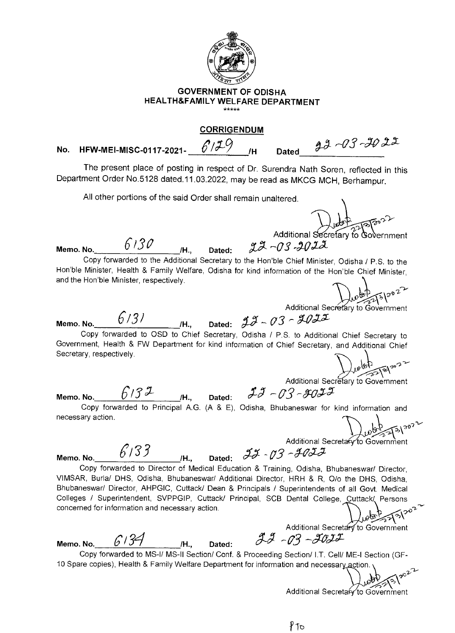

## **GOVERNMENT OF ODISHA HEALTH&FAMILY WELFARE DEPARTMENT**

## **CORRIGENDUM**

 $22 - 03 - 2022$ **No. HFW-MEI-MISC-0117-2021-**  $6^{7/29}$  /H Dated

The present place of posting in respect of Dr. Surendra Nath Soren, reflected in this Department Order No.5128 dated.11.03.2022, may be read as MKCG MCH, Berhampur.

All other portions of the said Order shall remain unaltered.

Additional Secretary to Government

**Memo. No.** 6130 H., Dated:  $22 - 03 - 2022$ Copy forwarded to the Additional Secretary to the Hon'ble Chief Minister, Odisha / P.S. to the Hon'ble Minister, Health & Family Welfare, Odisha for kind information of the Hon'ble Chief Minister, and the Hon'ble Minister, respectively. Additional Secretary to Government **Memo. No.**  $6/3$ / *IH.*, Dated:  $28 - 03 - 2025$ Copy forwarded to OSD to Chief Secretary, Odisha / P.S. to Additional Chief Secretary to Government, Health & FW Department for kind information of Chief Secretary, and Additional Chief Secretary, respectively.

Additional Secretary to Government

**Memo. No.** *U<sup>1</sup>J M Memo. No. 2016* Copy forwarded to Principal A.G. (A & E), Odisha, Bhubaneswar for kind information and necessary action.

 $\int_{0}^{b} 1^{5/20^{2}}$ 

Additional Secretary to Government

**Memo. No.**  $6/33$   $h$ , Dated:  $73 - 703$ 

Copy forwarded to Director of Medical Education & Training, Odisha, Bhubaneswar/ Director, VIMSAR, Burla/ DHS, Odisha, Bhubaneswar/ Additional Director, HRH & R, 0/o the OHS, Odisha, Bhubaneswar/ Director, AHPGIC, Cuttack/ Dean & Principals / Superintendents of all Govt. Medical Colleges / Superintendent, SVPPGIP, Cuttack/ Principal, SCB Dental College, Cuttack/ Persons concerned for information and necessary action.

**Memo. No.** *C/34 Memo. No. 6/34* 

Additional Secretary to Government<br> $22 - 03 - 2022$ 

Copy forwarded to MS-I/ MS-II Section/ Conf. & Proceeding Section/ I.T. Cell/ ME-I Section (GF-10 Spare copies), Health & Family Welfare Department for information and necessary action.

Additional Secretary to Government